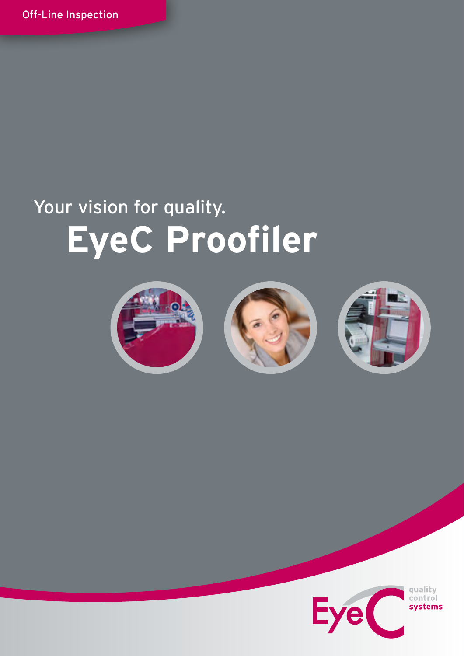# Your vision for quality.  **EyeC Proofiler**







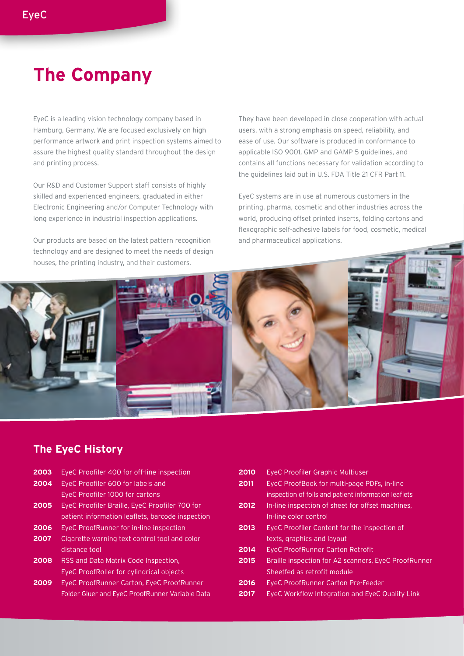# **The Company**

EyeC is a leading vision technology company based in Hamburg, Germany. We are focused exclusively on high performance artwork and print inspection systems aimed to assure the highest quality standard throughout the design and printing process.

Our R&D and Customer Support staff consists of highly skilled and experienced engineers, graduated in either Electronic Engineering and/or Computer Technology with long experience in industrial inspection applications.

Our products are based on the latest pattern recognition technology and are designed to meet the needs of design houses, the printing industry, and their customers.

They have been developed in close cooperation with actual users, with a strong emphasis on speed, reliability, and ease of use. Our software is produced in conformance to applicable ISO 9001, GMP and GAMP 5 guidelines, and contains all functions necessary for validation according to the guidelines laid out in U.S. FDA Title 21 CFR Part 11.

EyeC systems are in use at numerous customers in the printing, pharma, cosmetic and other industries across the world, producing offset printed inserts, folding cartons and flexographic self-adhesive labels for food, cosmetic, medical and pharmaceutical applications.



# **The EyeC History**

- **2003** EyeC Proofiler 400 for off-line inspection
- **2004** EyeC Proofiler 600 for labels and EyeC Proofiler 1000 for cartons
- **2005** EyeC Proofiler Braille, EyeC Proofiler 700 for patient information leaflets, barcode inspection
- **2006** EyeC ProofRunner for in-line inspection
- **2007** Cigarette warning text control tool and color distance tool
- **2008** RSS and Data Matrix Code Inspection, EyeC ProofRoller for cylindrical objects
- **2009** EyeC ProofRunner Carton, EyeC ProofRunner Folder Gluer and EyeC ProofRunner Variable Data
- **2010** EyeC Proofiler Graphic Multiuser **2011** EyeC ProofBook for multi-page PDFs, in-line inspection of foils and patient information leaflets **2012** In-line inspection of sheet for offset machines, In-line color control **2013** EyeC Proofiler Content for the inspection of texts, graphics and layout **2014** EyeC ProofRunner Carton Retrofit **2015** Braille inspection for A2 scanners, EyeC ProofRunner Sheetfed as retrofit module **2016** EyeC ProofRunner Carton Pre-Feeder **2017** EyeC Workflow Integration and EyeC Quality Link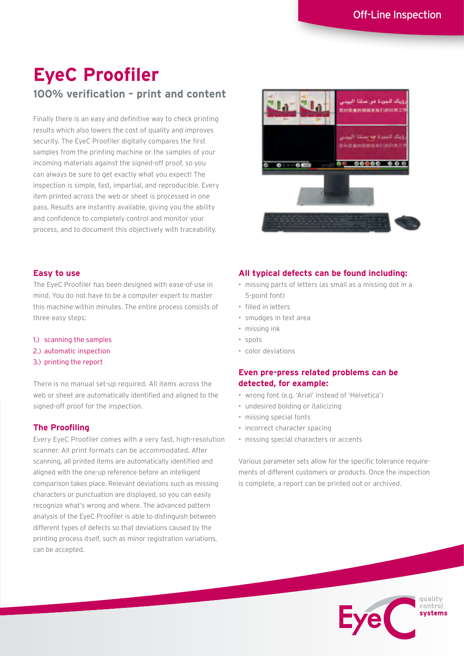# **EyeC Proofiler 100% verification – print and content**

Finally there is an easy and definitive way to check printing results which also lowers the cost of quality and improves security. The EyeC Proofiler digitally compares the first samples from the printing machine or the samples of your incoming materials against the signed-off proof, so you can always be sure to get exactly what you expect! The inspection is simple, fast, impartial, and reproducible. Every item printed across the web or sheet is processed in one pass. Results are instantly available, giving you the ability and confidence to completely control and monitor your process, and to document this objectively with traceability.



# **Easy to use**

The EyeC Proofiler has been designed with ease-of-use in mind. You do not have to be a computer expert to master this machine within minutes. The entire process consists of three easy steps:

- 1.) scanning the samples
- 2.) automatic inspection
- 3.) printing the report

There is no manual set-up required. All items across the web or sheet are automatically identified and aligned to the signed-off proof for the inspection.

#### **The Proofiling**

Every EyeC Proofiler comes with a very fast, high-resolution scanner. All print formats can be accommodated. After scanning, all printed items are automatically identified and aligned with the one-up reference before an intelligent comparison takes place. Relevant deviations such as missing characters or punctuation are displayed, so you can easily recognize what's wrong and where. The advanced pattern analysis of the EyeC Proofiler is able to distinguish between different types of defects so that deviations caused by the printing process itself, such as minor registration variations, can be accepted.

# **All typical defects can be found including:**

- missing parts of letters (as small as a missing dot in a 5-point font)
- • filled in letters
- • smudges in text area
- • missing ink
- • spots
	- • color deviations

# **Even pre-press related problems can be detected, for example:**

- • wrong font (e.g. 'Arial' instead of 'Helvetica')
- undesired bolding or italicizing
- • missing special fonts
- incorrect character spacing
- • missing special characters or accents

Various parameter sets allow for the specific tolerance requirements of different customers or products. Once the inspection is complete, a report can be printed out or archived.

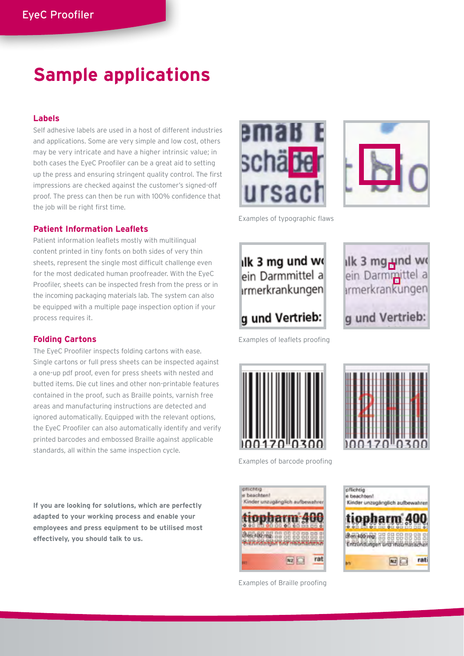# **Sample applications**

# **Labels**

Self adhesive labels are used in a host of different industries and applications. Some are very simple and low cost, others may be very intricate and have a higher intrinsic value; in both cases the EyeC Proofiler can be a great aid to setting up the press and ensuring stringent quality control. The first impressions are checked against the customer's signed-off proof. The press can then be run with 100% confidence that the job will be right first time.

#### **Patient Information Leaflets**

Patient information leaflets mostly with multilingual content printed in tiny fonts on both sides of very thin sheets, represent the single most difficult challenge even for the most dedicated human proofreader. With the EyeC Proofiler, sheets can be inspected fresh from the press or in the incoming packaging materials lab. The system can also be equipped with a multiple page inspection option if your process requires it.

# **Folding Cartons**

The EyeC Proofiler inspects folding cartons with ease. Single cartons or full press sheets can be inspected against a one-up pdf proof, even for press sheets with nested and butted items. Die cut lines and other non-printable features contained in the proof, such as Braille points, varnish free areas and manufacturing instructions are detected and ignored automatically. Equipped with the relevant options, the EyeC Proofiler can also automatically identify and verify printed barcodes and embossed Braille against applicable standards, all within the same inspection cycle.

**If you are looking for solutions, which are perfectly adapted to your working process and enable your employees and press equipment to be utilised most effectively, you should talk to us.**





Examples of typographic flaws



ilk 3 mg<sub>r</sub>und wo ein Darmmittel a *srmerkrankungen* g und Vertrieb:

Examples of leaflets proofing





**volticivia** se hasebtent Kinder unnunknobeh aufbar *ANGHARANG BB* **September**  $WZ$ rat





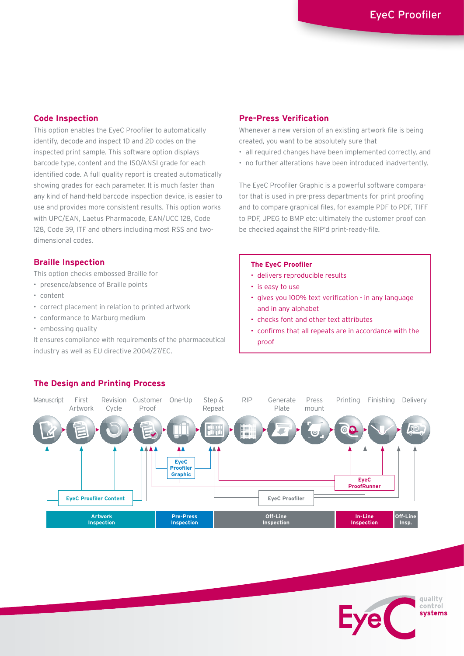# **Code Inspection**

This option enables the EyeC Proofiler to automatically identify, decode and inspect 1D and 2D codes on the inspected print sample. This software option displays barcode type, content and the ISO/ANSI grade for each identified code. A full quality report is created automatically showing grades for each parameter. It is much faster than any kind of hand-held barcode inspection device, is easier to use and provides more consistent results. This option works with UPC/EAN, Laetus Pharmacode, EAN/UCC 128, Code 128, Code 39, ITF and others including most RSS and twodimensional codes.

# **Braille Inspection**

This option checks embossed Braille for

- presence/absence of Braille points
- • content
- • correct placement in relation to printed artwork
- • conformance to Marburg medium
- • embossing quality

It ensures compliance with requirements of the pharmaceutical industry as well as EU directive 2004/27/EC.

# **Pre-Press Verification**

Whenever a new version of an existing artwork file is being created, you want to be absolutely sure that

- all required changes have been implemented correctly, and
- no further alterations have been introduced inadvertently.

The EyeC Proofiler Graphic is a powerful software comparator that is used in pre-press departments for print proofing and to compare graphical files, for example PDF to PDF, TIFF to PDF, JPEG to BMP etc; ultimately the customer proof can be checked against the RIP'd print-ready-file.

#### **The EyeC Proofiler**

- • delivers reproducible results
- is easy to use
- • gives you 100% text verification in any language and in any alphabet
- • checks font and other text attributes
- • confirms that all repeats are in accordance with the proof



#### **The Design and Printing Process**

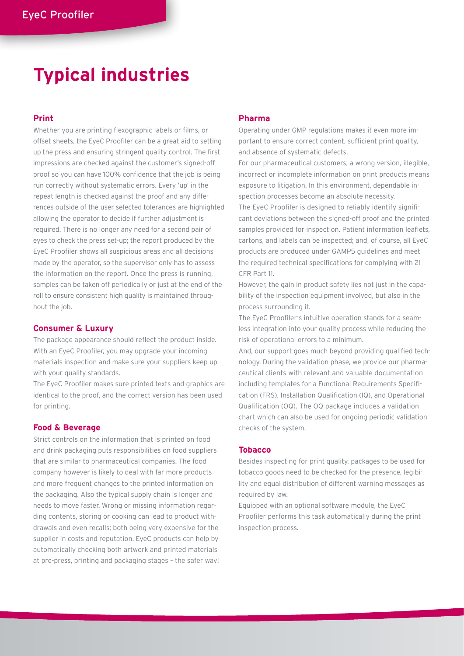# **Typical industries**

# **Print**

Whether you are printing flexographic labels or films, or offset sheets, the EyeC Proofiler can be a great aid to setting up the press and ensuring stringent quality control. The first impressions are checked against the customer's signed-off proof so you can have 100% confidence that the job is being run correctly without systematic errors. Every 'up' in the repeat length is checked against the proof and any differences outside of the user selected tolerances are highlighted allowing the operator to decide if further adjustment is required. There is no longer any need for a second pair of eyes to check the press set-up; the report produced by the EyeC Proofiler shows all suspicious areas and all decisions made by the operator, so the supervisor only has to assess the information on the report. Once the press is running, samples can be taken off periodically or just at the end of the roll to ensure consistent high quality is maintained throughout the job.

#### **Consumer & Luxury**

The package appearance should reflect the product inside. With an EyeC Proofiler, you may upgrade your incoming materials inspection and make sure your suppliers keep up with your quality standards.

The EyeC Proofiler makes sure printed texts and graphics are identical to the proof, and the correct version has been used for printing.

#### **Food & Beverage**

Strict controls on the information that is printed on food and drink packaging puts responsibilities on food suppliers that are similar to pharmaceutical companies. The food company however is likely to deal with far more products and more frequent changes to the printed information on the packaging. Also the typical supply chain is longer and needs to move faster. Wrong or missing information regarding contents, storing or cooking can lead to product withdrawals and even recalls; both being very expensive for the supplier in costs and reputation. EyeC products can help by automatically checking both artwork and printed materials at pre-press, printing and packaging stages – the safer way!

# **Pharma**

Operating under GMP regulations makes it even more important to ensure correct content, sufficient print quality, and absence of systematic defects.

For our pharmaceutical customers, a wrong version, illegible, incorrect or incomplete information on print products means exposure to litigation. In this environment, dependable inspection processes become an absolute necessity. The EyeC Proofiler is designed to reliably identify significant deviations between the signed-off proof and the printed samples provided for inspection. Patient information leaflets, cartons, and labels can be inspected; and, of course, all EyeC products are produced under GAMP5 guidelines and meet the required technical specifications for complying with 21 CFR Part 11.

However, the gain in product safety lies not just in the capability of the inspection equipment involved, but also in the process surrounding it.

The EyeC Proofiler's intuitive operation stands for a seamless integration into your quality process while reducing the risk of operational errors to a minimum.

And, our support goes much beyond providing qualified technology. During the validation phase, we provide our pharmaceutical clients with relevant and valuable documentation including templates for a Functional Requirements Specification (FRS), Installation Qualification (IQ), and Operational Qualification (OQ). The OQ package includes a validation chart which can also be used for ongoing periodic validation checks of the system.

#### **Tobacco**

Besides inspecting for print quality, packages to be used for tobacco goods need to be checked for the presence, legibility and equal distribution of different warning messages as required by law.

Equipped with an optional software module, the EyeC Proofiler performs this task automatically during the print inspection process.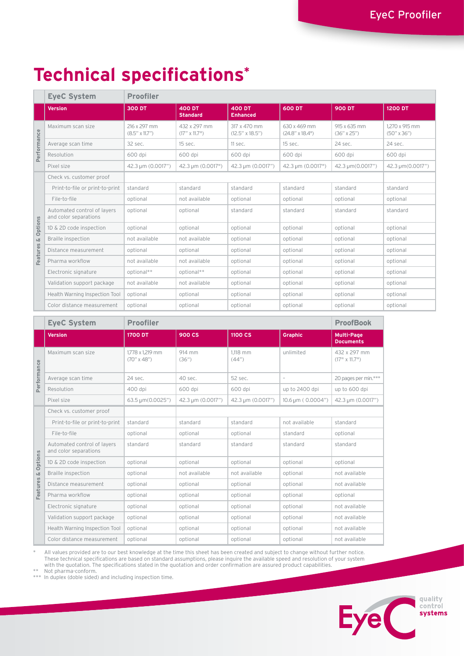# **Technical specifications\***

|                           | <b>EyeC System</b>                                   | <b>Proofiler</b>                        |                                      |                                          |                                 |                                      |                                        |  |  |
|---------------------------|------------------------------------------------------|-----------------------------------------|--------------------------------------|------------------------------------------|---------------------------------|--------------------------------------|----------------------------------------|--|--|
|                           | <b>Version</b>                                       | <b>300 DT</b>                           | <b>400 DT</b><br><b>Standard</b>     | <b>400 DT</b><br><b>Enhanced</b>         | 600 DT                          | <b>900 DT</b>                        | <b>1200 DT</b>                         |  |  |
| Performance               | Maximum scan size                                    | 216 x 297 mm<br>$(8.5'' \times 11.7'')$ | 432 x 297 mm<br>$(17" \times 11.7")$ | 317 x 470 mm<br>$(12.5'' \times 18.5'')$ | 630 x 469 mm<br>(24.8" x 18.4") | 915 x 635 mm<br>$(36'' \times 25'')$ | 1.270 x 915 mm<br>$(50'' \times 36'')$ |  |  |
|                           | Average scan time                                    | 32 sec.                                 | 15 sec.                              | 11 sec.                                  | 15 sec.                         | 24 sec.                              | 24 sec.                                |  |  |
|                           | Resolution                                           | 600 dpi                                 | 600 dpi                              | 600 dpi                                  | 600 dpi                         | 600 dpi                              | 600 dpi                                |  |  |
|                           | Pixel size                                           | 42.3 µm (0.0017")                       | 42.3 µm (0.0017")                    | 42.3 µm (0.0017")                        | 42.3 µm (0.0017")               | 42.3 µm(0.0017")                     | 42.3 µm(0.0017")                       |  |  |
| Options<br>ιă<br>Features | Check vs. customer proof                             |                                         |                                      |                                          |                                 |                                      |                                        |  |  |
|                           | Print-to-file or print-to-print                      | standard                                | standard                             | standard                                 | standard                        | standard                             | standard                               |  |  |
|                           | File-to-file                                         | optional                                | not available                        | optional                                 | optional                        | optional                             | optional                               |  |  |
|                           | Automated control of layers<br>and color separations | optional                                | optional                             | standard                                 | standard                        | standard                             | standard                               |  |  |
|                           | 1D & 2D code inspection                              | optional                                | optional                             | optional                                 | optional                        | optional                             | optional                               |  |  |
|                           | <b>Braille inspection</b>                            | not available                           | not available                        | optional                                 | optional                        | optional                             | optional                               |  |  |
|                           | Distance measurement                                 | optional                                | optional                             | optional                                 | optional                        | optional                             | optional                               |  |  |
|                           | Pharma workflow                                      | not available                           | not available                        | optional                                 | optional                        | optional                             | optional                               |  |  |
|                           | Electronic signature                                 | optional**                              | optional**                           | optional                                 | optional                        | optional                             | optional                               |  |  |
|                           | Validation support package                           | not available                           | not available                        | optional                                 | optional                        | optional                             | optional                               |  |  |
|                           | Health Warning Inspection Tool                       | optional                                | optional                             | optional                                 | optional                        | optional                             | optional                               |  |  |
|                           | Color distance measurement                           | optional                                | optional                             | optional                                 | optional                        | optional                             | optional                               |  |  |

|                           | <b>EyeC System</b>                                   | <b>Proofiler</b>                         |                   |                   |                                     | <b>ProofBook</b>                      |
|---------------------------|------------------------------------------------------|------------------------------------------|-------------------|-------------------|-------------------------------------|---------------------------------------|
|                           | Version                                              | <b>1700 DT</b>                           | 900 CS            | <b>1100 CS</b>    | <b>Graphic</b>                      | <b>Multi-Page</b><br><b>Documents</b> |
| Performance               | Maximum scan size                                    | 1,778 x 1,219 mm<br>$(70'' \times 48'')$ | 914 mm<br>(36")   | 1.118 mm<br>(44") | unlimited                           | 432 x 297 mm<br>$(17" \times 11.7")$  |
|                           | Average scan time                                    | 24 sec.                                  | 40 sec.           | 52 sec.           | $\overline{a}$                      | 20 pages per min.***                  |
|                           | Resolution                                           | 400 dpi                                  | 600 dpi           | 600 dpi           | up to 2400 dpi                      | up to 600 dpi                         |
|                           | Pixel size                                           | 63.5 µm(0.0025")                         | 42.3 µm (0.0017") | 42.3 µm (0.0017") | $10.6 \,\mathrm{\upmu m}$ (0.0004") | 42.3 µm (0.0017")                     |
| Options<br>ιă<br>Features | Check vs. customer proof                             |                                          |                   |                   |                                     |                                       |
|                           | Print-to-file or print-to-print                      | standard                                 | standard          | standard          | not available                       | standard                              |
|                           | File-to-file                                         | optional                                 | optional          | optional          | standard                            | optional                              |
|                           | Automated control of layers<br>and color separations | standard                                 | standard          | standard          | standard                            | standard                              |
|                           | 1D & 2D code inspection                              | optional                                 | optional          | optional          | optional                            | optional                              |
|                           | <b>Braille inspection</b>                            | optional                                 | not available     | not available     | optional                            | not available                         |
|                           | Distance measurement                                 | optional                                 | optional          | optional          | optional                            | not available                         |
|                           | Pharma workflow                                      | optional                                 | optional          | optional          | optional                            | optional                              |
|                           | Electronic signature                                 | optional                                 | optional          | optional          | optional                            | not available                         |
|                           | Validation support package                           | optional                                 | optional          | optional          | optional                            | not available                         |
|                           | Health Warning Inspection Tool                       | optional                                 | optional          | optional          | optional                            | not available                         |
|                           | Color distance measurement                           | optional                                 | optional          | optional          | optional                            | not available                         |

\* All values provided are to our best knowledge at the time this sheet has been created and subject to change without further notice. These technical specifications are based on standard assumptions, please inquire the available speed and resolution of your system<br>with the quotation. The specifications stated in the quotation and order confirmation are a

\*\*\* In duplex (doble sided) and including inspection time.